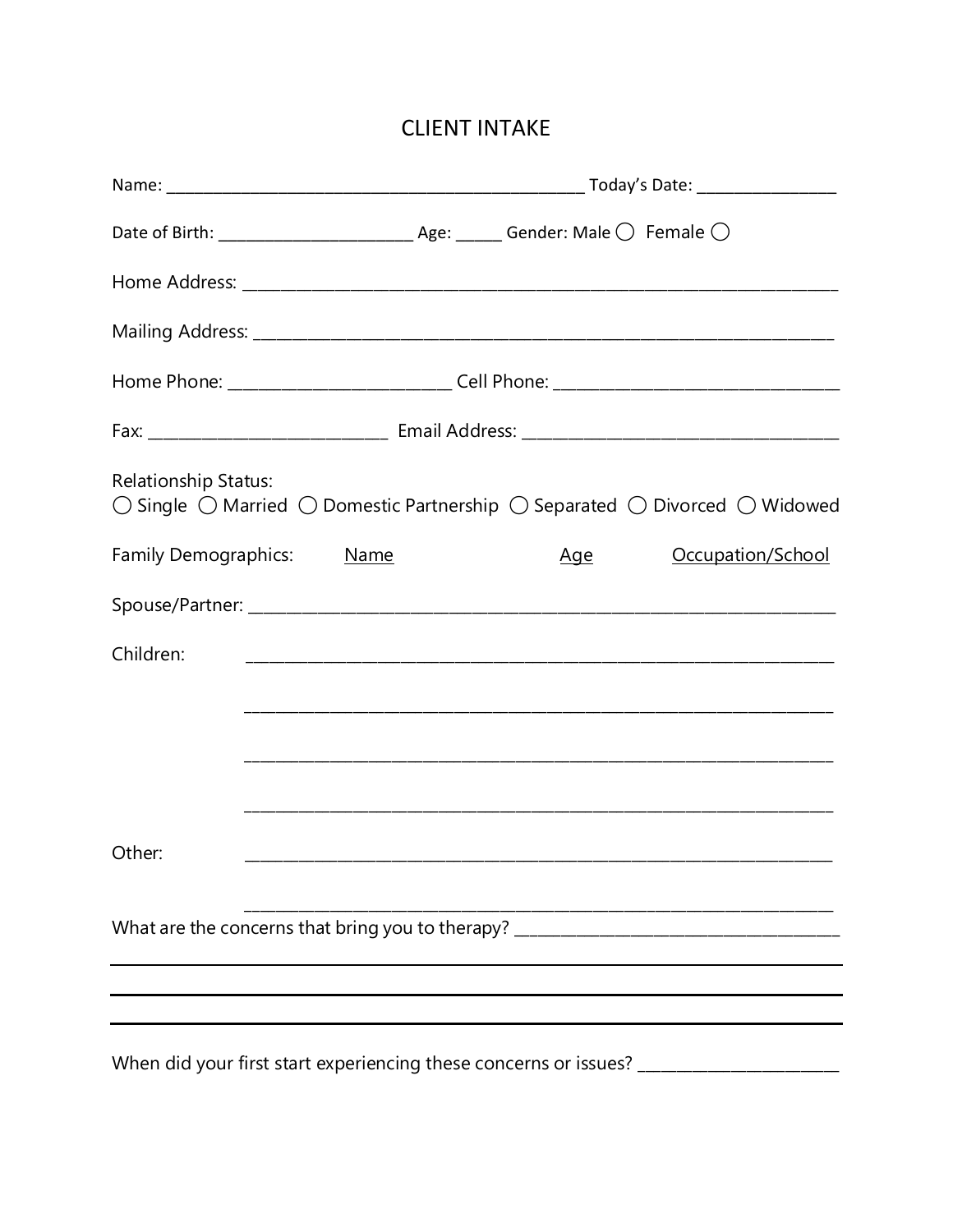## **CLIENT INTAKE**

|                                                                                                                                                                 | Date of Birth: $\frac{1}{\sqrt{2}}$ Age: Gender: Male $\sqrt{2}$ Female $\sqrt{2}$ |  |  |            |                                                                                   |  |  |  |
|-----------------------------------------------------------------------------------------------------------------------------------------------------------------|------------------------------------------------------------------------------------|--|--|------------|-----------------------------------------------------------------------------------|--|--|--|
|                                                                                                                                                                 |                                                                                    |  |  |            |                                                                                   |  |  |  |
|                                                                                                                                                                 |                                                                                    |  |  |            |                                                                                   |  |  |  |
|                                                                                                                                                                 |                                                                                    |  |  |            |                                                                                   |  |  |  |
|                                                                                                                                                                 |                                                                                    |  |  |            |                                                                                   |  |  |  |
| <b>Relationship Status:</b><br>$\bigcirc$ Single $\bigcirc$ Married $\bigcirc$ Domestic Partnership $\bigcirc$ Separated $\bigcirc$ Divorced $\bigcirc$ Widowed |                                                                                    |  |  |            |                                                                                   |  |  |  |
| Family Demographics: Name                                                                                                                                       |                                                                                    |  |  | <u>Age</u> | Occupation/School                                                                 |  |  |  |
|                                                                                                                                                                 |                                                                                    |  |  |            |                                                                                   |  |  |  |
| Children:                                                                                                                                                       |                                                                                    |  |  |            |                                                                                   |  |  |  |
|                                                                                                                                                                 |                                                                                    |  |  |            |                                                                                   |  |  |  |
|                                                                                                                                                                 |                                                                                    |  |  |            |                                                                                   |  |  |  |
|                                                                                                                                                                 |                                                                                    |  |  |            |                                                                                   |  |  |  |
| Other:                                                                                                                                                          |                                                                                    |  |  |            | <u> 1989 - Johann Stoff, amerikansk politiker (d. 1989)</u>                       |  |  |  |
| What are the concerns that bring you to therapy? _______________________________                                                                                |                                                                                    |  |  |            |                                                                                   |  |  |  |
|                                                                                                                                                                 |                                                                                    |  |  |            |                                                                                   |  |  |  |
|                                                                                                                                                                 |                                                                                    |  |  |            | When did your first start experiencing these concerns or issues? ________________ |  |  |  |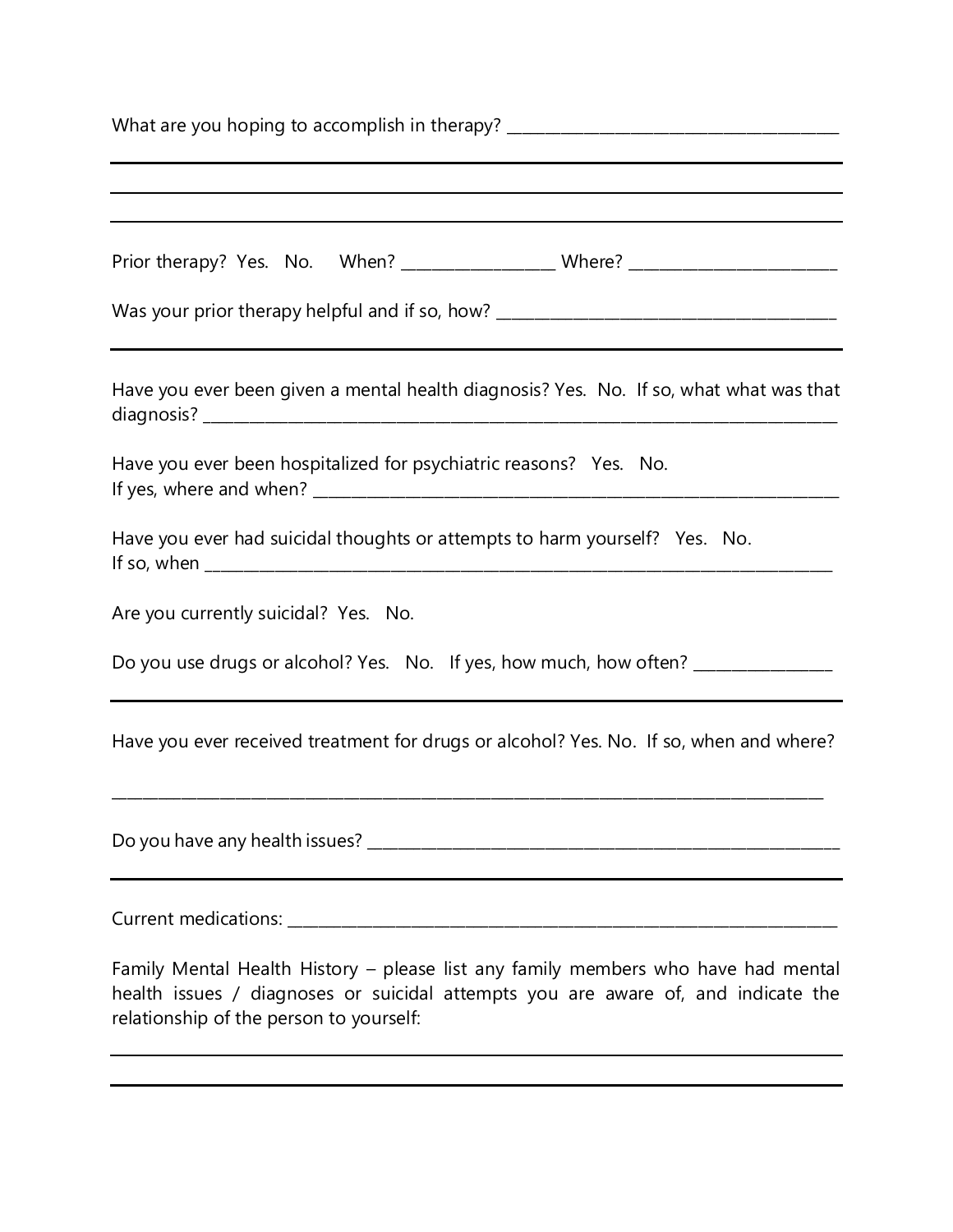| What are you hoping to accomplish in therapy? __________________________________                                                                                                                                  |  |  |  |  |  |
|-------------------------------------------------------------------------------------------------------------------------------------------------------------------------------------------------------------------|--|--|--|--|--|
|                                                                                                                                                                                                                   |  |  |  |  |  |
| Prior therapy? Yes. No. When? _________________________Where? __________________                                                                                                                                  |  |  |  |  |  |
| Was your prior therapy helpful and if so, how? _________________________________                                                                                                                                  |  |  |  |  |  |
| Have you ever been given a mental health diagnosis? Yes. No. If so, what what was that                                                                                                                            |  |  |  |  |  |
| Have you ever been hospitalized for psychiatric reasons? Yes. No.                                                                                                                                                 |  |  |  |  |  |
| Have you ever had suicidal thoughts or attempts to harm yourself? Yes. No.                                                                                                                                        |  |  |  |  |  |
| Are you currently suicidal? Yes. No.                                                                                                                                                                              |  |  |  |  |  |
| Do you use drugs or alcohol? Yes. No. If yes, how much, how often? _____________                                                                                                                                  |  |  |  |  |  |
| Have you ever received treatment for drugs or alcohol? Yes. No. If so, when and where?                                                                                                                            |  |  |  |  |  |
|                                                                                                                                                                                                                   |  |  |  |  |  |
|                                                                                                                                                                                                                   |  |  |  |  |  |
| Family Mental Health History - please list any family members who have had mental<br>health issues / diagnoses or suicidal attempts you are aware of, and indicate the<br>relationship of the person to yourself: |  |  |  |  |  |